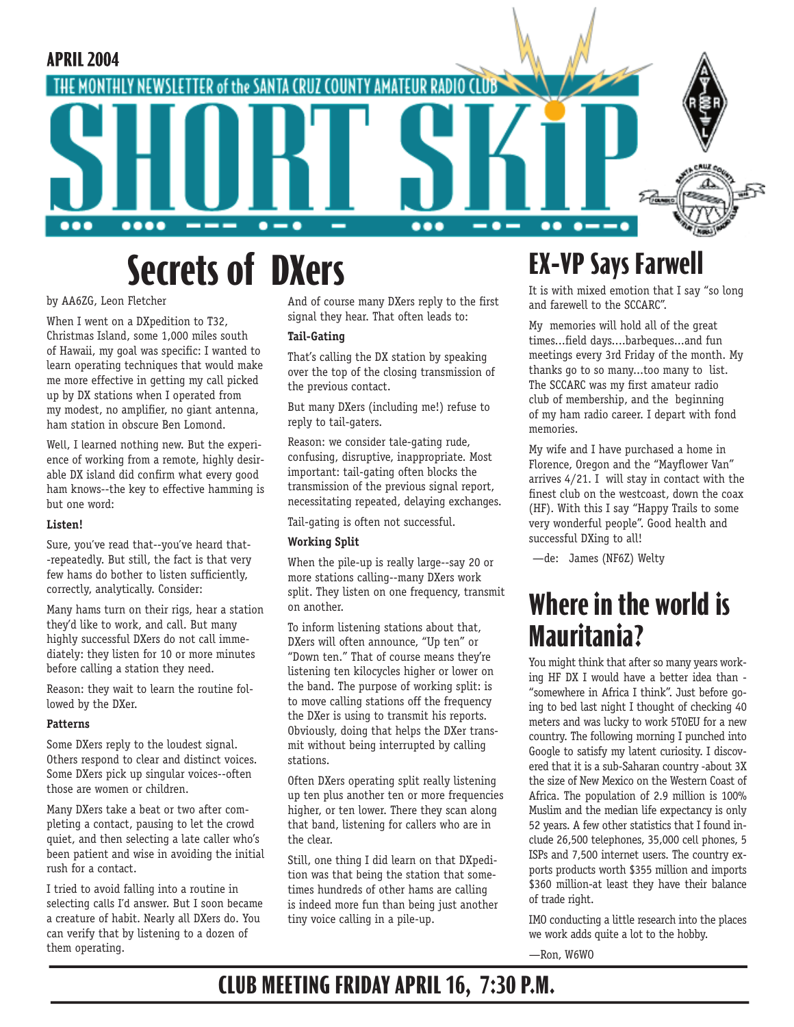

# **Secrets of DXers EX-VP Says Farwell**

by AA6ZG, Leon Fletcher

When I went on a DXpedition to T32, Christmas Island, some 1,000 miles south of Hawaii, my goal was specific: I wanted to learn operating techniques that would make me more effective in getting my call picked up by DX stations when I operated from my modest, no amplifier, no giant antenna, ham station in obscure Ben Lomond.

Well, I learned nothing new. But the experience of working from a remote, highly desirable DX island did confirm what every good ham knows--the key to effective hamming is but one word:

#### **Listen!**

Sure, you've read that--you've heard that- -repeatedly. But still, the fact is that very few hams do bother to listen sufficiently, correctly, analytically. Consider:

Many hams turn on their rigs, hear a station they'd like to work, and call. But many highly successful DXers do not call immediately: they listen for 10 or more minutes before calling a station they need.

Reason: they wait to learn the routine followed by the DXer.

#### **Patterns**

Some DXers reply to the loudest signal. Others respond to clear and distinct voices. Some DXers pick up singular voices--often those are women or children.

Many DXers take a beat or two after completing a contact, pausing to let the crowd quiet, and then selecting a late caller who's been patient and wise in avoiding the initial rush for a contact.

I tried to avoid falling into a routine in selecting calls I'd answer. But I soon became a creature of habit. Nearly all DXers do. You can verify that by listening to a dozen of them operating.

And of course many DXers reply to the first signal they hear. That often leads to:

#### **Tail-Gating**

That's calling the DX station by speaking over the top of the closing transmission of the previous contact.

But many DXers (including me!) refuse to reply to tail-gaters.

Reason: we consider tale-gating rude, confusing, disruptive, inappropriate. Most important: tail-gating often blocks the transmission of the previous signal report, necessitating repeated, delaying exchanges.

Tail-gating is often not successful.

#### **Working Split**

When the pile-up is really large--say 20 or more stations calling--many DXers work split. They listen on one frequency, transmit on another.

To inform listening stations about that, DXers will often announce, "Up ten" or "Down ten." That of course means they're listening ten kilocycles higher or lower on the band. The purpose of working split: is to move calling stations off the frequency the DXer is using to transmit his reports. Obviously, doing that helps the DXer transmit without being interrupted by calling stations.

Often DXers operating split really listening up ten plus another ten or more frequencies higher, or ten lower. There they scan along that band, listening for callers who are in the clear.

Still, one thing I did learn on that DXpedition was that being the station that sometimes hundreds of other hams are calling is indeed more fun than being just another tiny voice calling in a pile-up.

It is with mixed emotion that I say "so long and farewell to the SCCARC".

My memories will hold all of the great times...field days....barbeques...and fun meetings every 3rd Friday of the month. My thanks go to so many...too many to list. The SCCARC was my first amateur radio club of membership, and the beginning of my ham radio career. I depart with fond memories.

My wife and I have purchased a home in Florence, Oregon and the "Mayflower Van" arrives 4/21. I will stay in contact with the finest club on the westcoast, down the coax (HF). With this I say "Happy Trails to some very wonderful people". Good health and successful DXing to all!

—de: James (NF6Z) Welty

### **Where in the world is Mauritania?**

You might think that after so many years working HF DX I would have a better idea than - "somewhere in Africa I think". Just before going to bed last night I thought of checking 40 meters and was lucky to work 5T0EU for a new country. The following morning I punched into Google to satisfy my latent curiosity. I discovered that it is a sub-Saharan country -about 3X the size of New Mexico on the Western Coast of Africa. The population of 2.9 million is 100% Muslim and the median life expectancy is only 52 years. A few other statistics that I found include 26,500 telephones, 35,000 cell phones, 5 ISPs and 7,500 internet users. The country exports products worth \$355 million and imports \$360 million-at least they have their balance of trade right.

IMO conducting a little research into the places we work adds quite a lot to the hobby.

—Ron, W6WO

### **CLUB MEETING FRIDAY APRIL 16, 7:30 P.M.**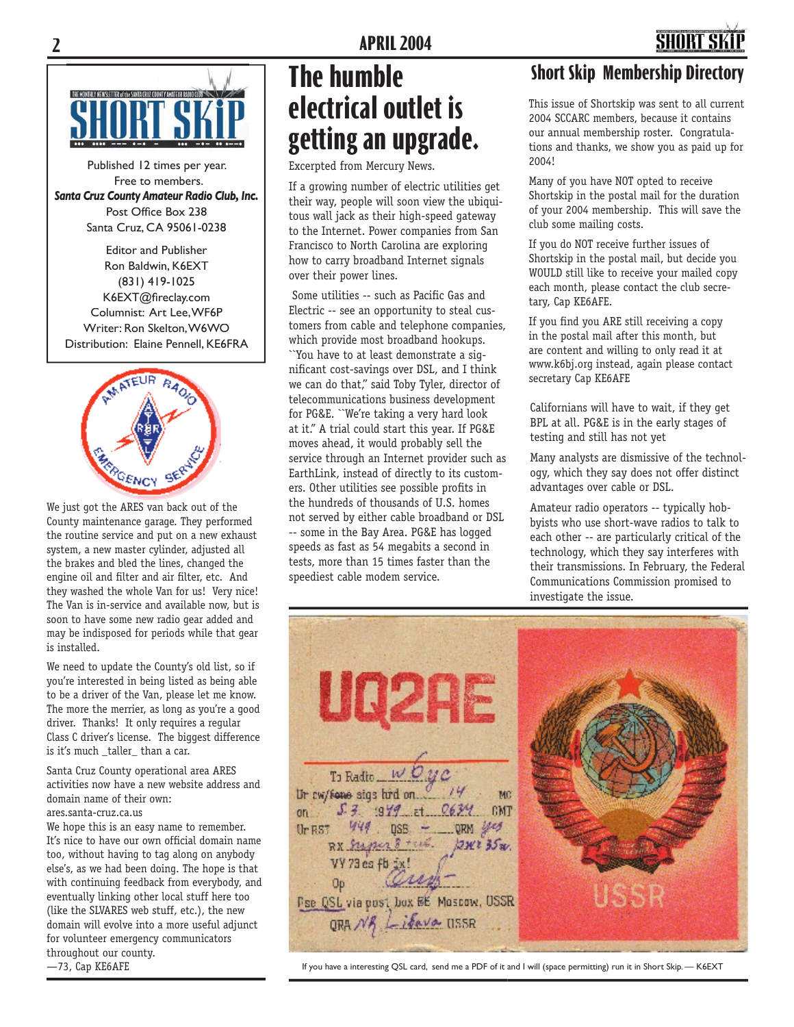

Published 12 times per year. Free to members. *Santa Cruz County Amateur Radio Club, Inc.* Post Office Box 238 Santa Cruz, CA 95061-0238

Editor and Publisher Ron Baldwin, K6EXT (831) 419-1025 K6EXT@fireclay.com Columnist: Art Lee, WF6P Writer: Ron Skelton, W6WO Distribution: Elaine Pennell, KE6FRA



We just got the ARES van back out of the County maintenance garage. They performed the routine service and put on a new exhaust system, a new master cylinder, adjusted all the brakes and bled the lines, changed the engine oil and filter and air filter, etc. And they washed the whole Van for us! Very nice! The Van is in-service and available now, but is soon to have some new radio gear added and may be indisposed for periods while that gear is installed.

We need to update the County's old list, so if you're interested in being listed as being able to be a driver of the Van, please let me know. The more the merrier, as long as you're a good driver. Thanks! It only requires a regular Class C driver's license. The biggest difference is it's much \_taller\_ than a car.

Santa Cruz County operational area ARES activities now have a new website address and domain name of their own: ares.santa-cruz.ca.us

We hope this is an easy name to remember. It's nice to have our own official domain name too, without having to tag along on anybody else's, as we had been doing. The hope is that with continuing feedback from everybody, and eventually linking other local stuff here too (like the SLVARES web stuff, etc.), the new domain will evolve into a more useful adjunct for volunteer emergency communicators throughout our county. —73, Cap KE6AFE

### **The humble electrical outlet is getting an upgrade.**

Excerpted from Mercury News.

If a growing number of electric utilities get their way, people will soon view the ubiquitous wall jack as their high-speed gateway to the Internet. Power companies from San Francisco to North Carolina are exploring how to carry broadband Internet signals over their power lines.

Some utilities -- such as Pacific Gas and Electric -- see an opportunity to steal customers from cable and telephone companies, which provide most broadband hookups.

``You have to at least demonstrate a significant cost-savings over DSL, and I think we can do that,'' said Toby Tyler, director of telecommunications business development for PG&E. ``We're taking a very hard look at it.'' A trial could start this year. If PG&E moves ahead, it would probably sell the service through an Internet provider such as EarthLink, instead of directly to its customers. Other utilities see possible profits in the hundreds of thousands of U.S. homes not served by either cable broadband or DSL -- some in the Bay Area. PG&E has logged speeds as fast as 54 megabits a second in tests, more than 15 times faster than the speediest cable modem service.

### **Short Skip Membership Directory**

This issue of Shortskip was sent to all current 2004 SCCARC members, because it contains our annual membership roster. Congratulations and thanks, we show you as paid up for 2004!

Many of you have NOT opted to receive Shortskip in the postal mail for the duration of your 2004 membership. This will save the club some mailing costs.

If you do NOT receive further issues of Shortskip in the postal mail, but decide you WOULD still like to receive your mailed copy each month, please contact the club secretary, Cap KE6AFE.

If you find you ARE still receiving a copy in the postal mail after this month, but are content and willing to only read it at www.k6bj.org instead, again please contact secretary Cap KE6AFE

Californians will have to wait, if they get BPL at all. PG&E is in the early stages of testing and still has not yet

Many analysts are dismissive of the technology, which they say does not offer distinct advantages over cable or DSL.

Amateur radio operators -- typically hobbyists who use short-wave radios to talk to each other -- are particularly critical of the technology, which they say interferes with their transmissions. In February, the Federal Communications Commission promised to investigate the issue.

UDZAE To Radio \_\_ W Ur cw/fone sigs hrd on. MC  $5.3.979$  et  $0634$ CMT  $on$ 444  $DSE = DRN$ Ur BST RX Super 8 1234235xx. VY 73 es fb 5 Üb Pse QSL via post box BE Moscow, USSR QRA NB Liberta USSR

If you have a interesting QSL card, send me a PDF of it and I will (space permitting) run it in Short Skip. — K6EXT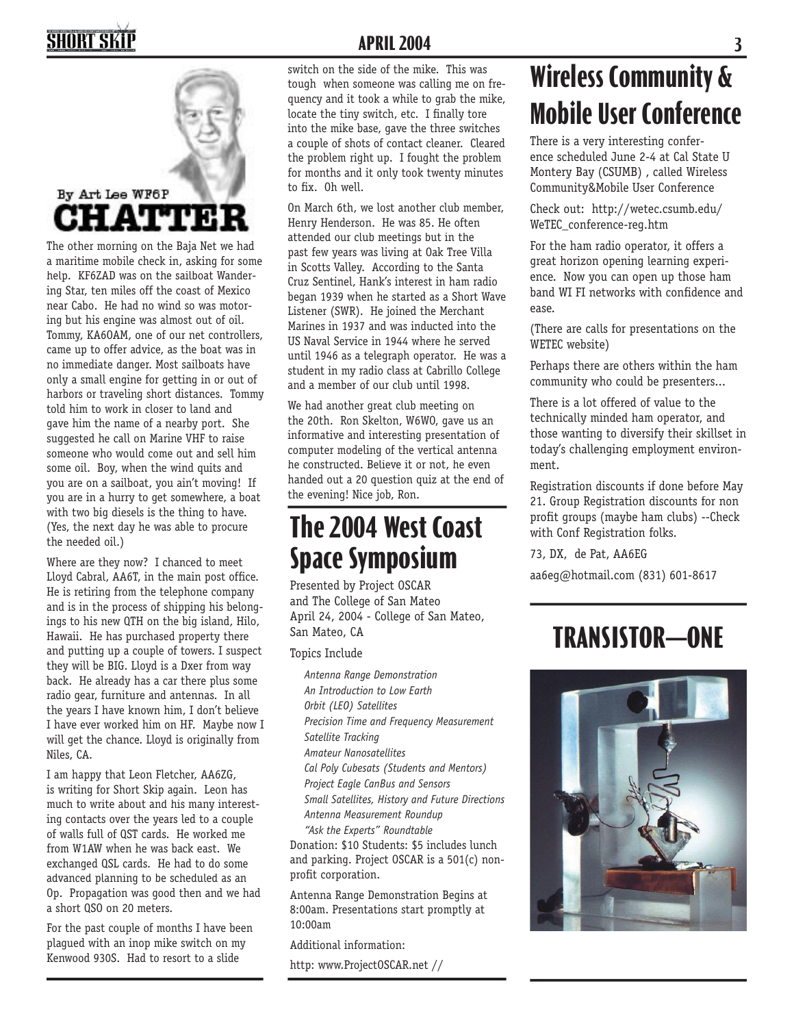## **SHORT SKIL**



The other morning on the Baja Net we had a maritime mobile check in, asking for some help. KF6ZAD was on the sailboat Wandering Star, ten miles off the coast of Mexico near Cabo. He had no wind so was motoring but his engine was almost out of oil. Tommy, KA6OAM, one of our net controllers, came up to offer advice, as the boat was in no immediate danger. Most sailboats have only a small engine for getting in or out of harbors or traveling short distances. Tommy told him to work in closer to land and gave him the name of a nearby port. She suggested he call on Marine VHF to raise someone who would come out and sell him some oil. Boy, when the wind quits and you are on a sailboat, you ain't moving! If you are in a hurry to get somewhere, a boat with two big diesels is the thing to have. (Yes, the next day he was able to procure the needed oil.)

Where are they now? I chanced to meet Lloyd Cabral, AA6T, in the main post office. He is retiring from the telephone company and is in the process of shipping his belongings to his new QTH on the big island, Hilo, Hawaii. He has purchased property there and putting up a couple of towers. I suspect they will be BIG. Lloyd is a Dxer from way back. He already has a car there plus some radio gear, furniture and antennas. In all the years I have known him, I don't believe I have ever worked him on HF. Maybe now I will get the chance. Lloyd is originally from Niles, CA.

I am happy that Leon Fletcher, AA6ZG, is writing for Short Skip again. Leon has much to write about and his many interesting contacts over the years led to a couple of walls full of QST cards. He worked me from W1AW when he was back east. We exchanged QSL cards. He had to do some advanced planning to be scheduled as an Op. Propagation was good then and we had a short QSO on 20 meters.

For the past couple of months I have been plagued with an inop mike switch on my Kenwood 930S. Had to resort to a slide

#### **APRIL 2004 3**

switch on the side of the mike. This was tough when someone was calling me on frequency and it took a while to grab the mike, locate the tiny switch, etc. I finally tore into the mike base, gave the three switches a couple of shots of contact cleaner. Cleared the problem right up. I fought the problem for months and it only took twenty minutes to fix. Oh well.

On March 6th, we lost another club member, Henry Henderson. He was 85. He often attended our club meetings but in the past few years was living at Oak Tree Villa in Scotts Valley. According to the Santa Cruz Sentinel, Hank's interest in ham radio began 1939 when he started as a Short Wave Listener (SWR). He joined the Merchant Marines in 1937 and was inducted into the US Naval Service in 1944 where he served until 1946 as a telegraph operator. He was a student in my radio class at Cabrillo College and a member of our club until 1998.

We had another great club meeting on the 20th. Ron Skelton, W6WO, gave us an informative and interesting presentation of computer modeling of the vertical antenna he constructed. Believe it or not, he even handed out a 20 question quiz at the end of the evening! Nice job, Ron.

### **The 2004 West Coast Space Symposium**

Presented by Project OSCAR and The College of San Mateo April 24, 2004 - College of San Mateo, San Mateo, CA

Topics Include

*Antenna Range Demonstration An Introduction to Low Earth Orbit (LEO) Satellites Precision Time and Frequency Measurement Satellite Tracking Amateur Nanosatellites Cal Poly Cubesats (Students and Mentors) Project Eagle CanBus and Sensors Small Satellites, History and Future Directions Antenna Measurement Roundup "Ask the Experts" Roundtable* Donation: \$10 Students: \$5 includes lunch

and parking. Project OSCAR is a 501(c) nonprofit corporation.

Antenna Range Demonstration Begins at 8:00am. Presentations start promptly at 10:00am

Additional information:

http: www.ProjectOSCAR.net //

# **Wireless Community & Mobile User Conference**

There is a very interesting conference scheduled June 2-4 at Cal State U Montery Bay (CSUMB) , called Wireless Community&Mobile User Conference

Check out: http://wetec.csumb.edu/ WeTEC\_conference-reg.htm

For the ham radio operator, it offers a great horizon opening learning experience. Now you can open up those ham band WI FI networks with confidence and ease.

(There are calls for presentations on the WETEC website)

Perhaps there are others within the ham community who could be presenters...

There is a lot offered of value to the technically minded ham operator, and those wanting to diversify their skillset in today's challenging employment environment.

Registration discounts if done before May 21. Group Registration discounts for non profit groups (maybe ham clubs) --Check with Conf Registration folks.

73, DX, de Pat, AA6EG

aa6eg@hotmail.com (831) 601-8617

## **TRANSISTOR —ONE**